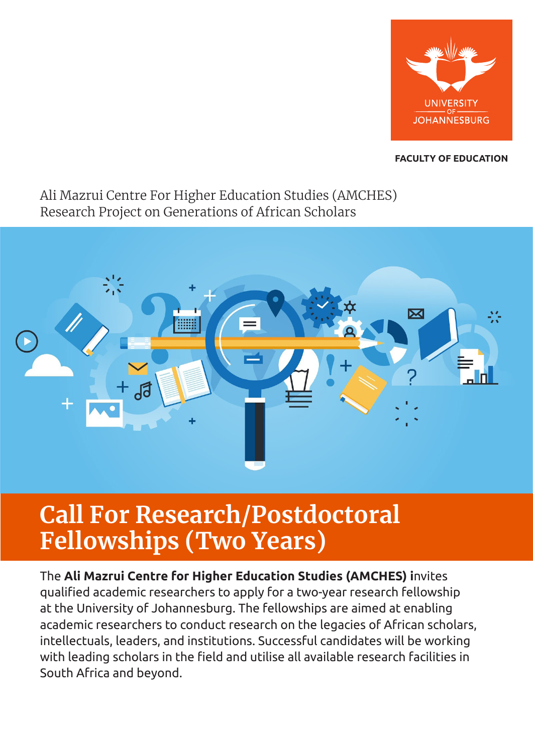

# **FACULTY OF EDUCATION**

# Ali Mazrui Centre For Higher Education Studies (AMCHES) Research Project on Generations of African Scholars



# **Call For Research/Postdoctoral Fellowships (Two Years)**

The **Ali Mazrui Centre for Higher Education Studies (AMCHES) i**nvites qualified academic researchers to apply for a two-year research fellowship at the University of Johannesburg. The fellowships are aimed at enabling academic researchers to conduct research on the legacies of African scholars, intellectuals, leaders, and institutions. Successful candidates will be working with leading scholars in the field and utilise all available research facilities in South Africa and beyond.